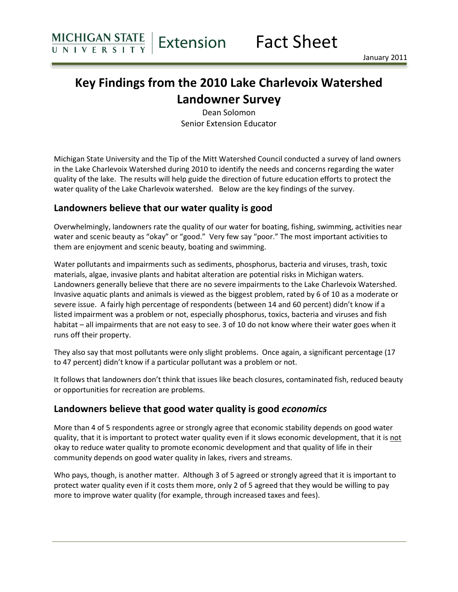# Key Findings from the 2010 Lake Charlevoix Watershed Landowner Survey

Dean Solomon Senior Extension Educator

Michigan State University and the Tip of the Mitt Watershed Council conducted a survey of land owners in the Lake Charlevoix Watershed during 2010 to identify the needs and concerns regarding the water quality of the lake. The results will help guide the direction of future education efforts to protect the water quality of the Lake Charlevoix watershed. Below are the key findings of the survey.

#### Landowners believe that our water quality is good

Overwhelmingly, landowners rate the quality of our water for boating, fishing, swimming, activities near water and scenic beauty as "okay" or "good." Very few say "poor." The most important activities to them are enjoyment and scenic beauty, boating and swimming.

Water pollutants and impairments such as sediments, phosphorus, bacteria and viruses, trash, toxic materials, algae, invasive plants and habitat alteration are potential risks in Michigan waters. Landowners generally believe that there are no severe impairments to the Lake Charlevoix Watershed. Invasive aquatic plants and animals is viewed as the biggest problem, rated by 6 of 10 as a moderate or severe issue. A fairly high percentage of respondents (between 14 and 60 percent) didn't know if a listed impairment was a problem or not, especially phosphorus, toxics, bacteria and viruses and fish habitat – all impairments that are not easy to see. 3 of 10 do not know where their water goes when it runs off their property.

They also say that most pollutants were only slight problems. Once again, a significant percentage (17 to 47 percent) didn't know if a particular pollutant was a problem or not.

It follows that landowners don't think that issues like beach closures, contaminated fish, reduced beauty or opportunities for recreation are problems.

#### Landowners believe that good water quality is good economics

More than 4 of 5 respondents agree or strongly agree that economic stability depends on good water quality, that it is important to protect water quality even if it slows economic development, that it is not okay to reduce water quality to promote economic development and that quality of life in their community depends on good water quality in lakes, rivers and streams.

Who pays, though, is another matter. Although 3 of 5 agreed or strongly agreed that it is important to protect water quality even if it costs them more, only 2 of 5 agreed that they would be willing to pay more to improve water quality (for example, through increased taxes and fees).